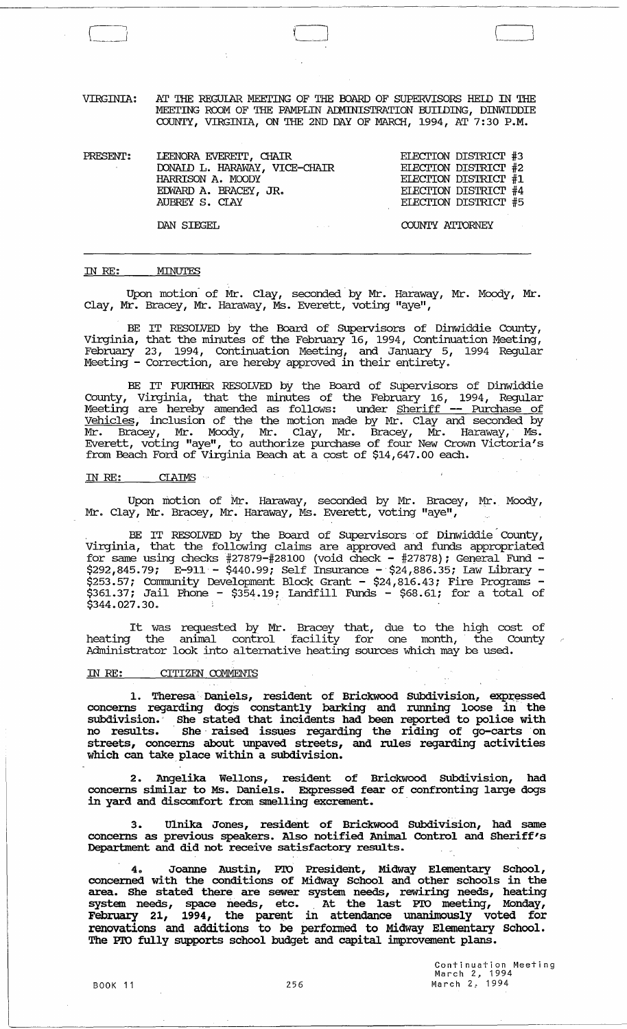VIRGINIA: AT THE REGUIAR MEETING OF THE BOARD OF SUPERVISORS HELD IN THE MEETING ROOM OF THE PAMPLIN ADMINISTRATION BUILDING, DINWIDDIE COUNTY, VIRGINIA, ON THE 2ND DAY OF MARCH, 1994, AT 7:30 P.M.

| PRESENT: | LEENORA EVERETT, CHAIR<br>DONAID L. HARAWAY, VICE-CHAIR<br>HARRISON A. MOODY<br>EDWARD A. BRACEY, JR.<br>AUBREY S. CIAY | ELECTION DISTRICT #3<br>ELECTION DISTRICT #2<br>ELECTION DISTRICT #1<br>ELECTION DISTRICT #4<br>ELECTION DISTRICT #5 |
|----------|-------------------------------------------------------------------------------------------------------------------------|----------------------------------------------------------------------------------------------------------------------|
|          | DAN SIEGEL                                                                                                              | COUNTY ATTORNEY                                                                                                      |

#### IN RE: **MINUTES**

Upon motion of Mr. Clay, seconded by Mr. Haraway, Mr. Moody, Mr. Clay, Mr. Bracey, Mr. Haraway, Ms. Everett, voting "aye",

BE IT RESOLVED by the Board of Supervisors of Dinwiddie County, Virginia, that the minutes of the February 16, 1994, Continuation Meeting, February 23, 1994, Continuation Meeting, and January 5, 1994 Regular Meeting - Correction, are hereby approved in their entirety.

BE IT FURIHER RESOLVED by the Board of Supervisors of Dinwiddie County, Virginia, that the minutes of the February 16, 1994, Regular Meeting are hereby amended as follows: under Sheriff -- Purchase of Vehicles, inclusion of the the motion made by Mr. Clay and seconded by Mr. Bracey, Mr. Moody, Mr. Clay, Mr. Bracey, Mr. Haraway,' Ms. Everett, voting "aye", to authorize purchase of four New Crown victoria's from Beach Ford of Virginia Beach at a cost of \$14,647.00 each.

#### IN RE: CIAIMS

Upon motion of Mr. Haraway, seconded by Mr. Bracey, Mr. Moody, Mr. Clay, Mr. Bracey, Mr. Haraway, Ms. Everett, voting "aye",

BE IT RESOLVED by the Board of Supervisors of Dinwiddie County, Virginia, that the following claims are approved and funds appropriated for same using checks #27879-#28100 (void check - #27878); General Fund -\$292,845.79; E-911 - \$440.99; Self Insurance - \$24,886.35; law Library - \$253.57; Community Development Block Grant - \$24,816.43; Fire Programs -<br>\$361.37; Jail Phone - \$354.19; Iandfill Funds - \$68.61; for a total of  $$361.37$ ; Jail Phone -  $$354.19$ ; Landfill Funds -  $$68.61$ ; for a total of  $$344.027.30$ .

It was requested by Mr. Bracey that, due to the high cost of heating the animal control facility for one month, the County Administrator look into alternative heating sources which may be used.

#### IN RE: CITIZEN COMMENTS

1. Theresa Daniels, resident of Brickwood Subdivision, expressed concerns regarding dogs constantly barking and running loose in the subdivision. She stated that incidents had been reported to police with no results. She raised issues regarding the riding of go-carts on streets, concerns about unpaved streets, and rules regarding activities which can take place within a subdivision.

2. Angelika Wellons, resident of Brickwood SUbdivision, had concerns similar to Ms. Daniels. Expressed fear of confronting large dogs in yard and discomfort from smelling excrement.

3. Ulnika Jones, resident of Brickwood SUbdivision, had same concerns as previous speakers. Also notified Animal COntrol and Sheriff's Department and did not receive satisfactory results.

4. Joanne Austin, PTO President, Midway Elementary School, concerned with the conditions of Midway School and other schools in the area. She stated there are sewer system needs, rewiring needs, heating system needs, space needs, etc. At the last PIO meeting, Monday,  $F$ ebruary 21, 1994, the parent in attendance unanimously voted for renovations and additions to be perfomed to Midway Elementary School. The Pro fully supports school budget and capital improvement plans.

> Continuation Meeting March 2, 1994 March 2: 1994

 $\Box$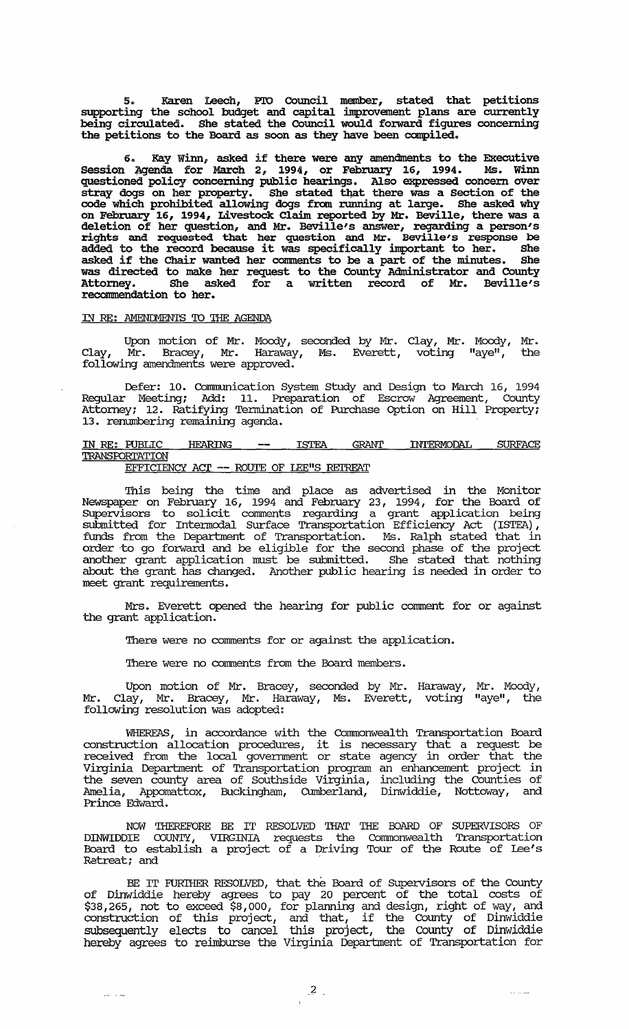5. Karen Leech, PTO Council member, stated that petitions supporting the school budget and capital improvement plans are currently being circulated. She stated the Council would forward figures concerning the petitions to the Board as soon as they have been compiled.

6. Kay Winn, asked if there were any amendments to the Executive Session Agenda for March 2, 1994, or February 16, 1994. Ms. Winn questioned policy concerning public hearings. Also expressed concem over stray dogs on her property. She stated that there was a Section of the code which prohibited allowing dogs fran running at large. She asked why on February 16, 1994, Livestock Claim reported by Mr. Beville, there was a deletion of her question, and Mr. Beville's answer, regarding a person's rights and requested that her question and Mr. Beville's response be added to the record because it was specifically important to her. She asked if the Chair wanted her comnents to be a part of the minutes. She was directed to make her request to the County Administrator and County Attorney. She asked for a written record of Mr. Beville's She asked for a written record of Mr. recommendation to her.

## IN RE: AMENDMENTS TO THE AGENDA

 $\frac{1}{2} \frac{1}{2} \frac{1}{2} \frac{1}{2} \frac{1}{2} \frac{1}{2} \frac{1}{2} \frac{1}{2} \frac{1}{2} \frac{1}{2} \frac{1}{2} \frac{1}{2} \frac{1}{2} \frac{1}{2} \frac{1}{2} \frac{1}{2} \frac{1}{2} \frac{1}{2} \frac{1}{2} \frac{1}{2} \frac{1}{2} \frac{1}{2} \frac{1}{2} \frac{1}{2} \frac{1}{2} \frac{1}{2} \frac{1}{2} \frac{1}{2} \frac{1}{2} \frac{1}{2} \frac{1}{2} \frac{$ 

Upon motion of Mr. Moody, seconded by Mr. Clay, Mr. Moody, Mr. Clay, Mr. Bracey, Mr. Haraway, Ms. Everett, voting "aye", the following amendments were approved.

Defer: 10. communication System study and Design to March 16, 1994 Regular Meeting; Add: 11. Preparation of Escrow Agreement, County Attorney; 12. Ratifying Termination of Purchase Option on Hill Property; 13. renumbering remaining agenda.

IN RE: PUBLIC HEARING -- ISTEA GRANT INTERMODAL SURFACE **TRANSPORTATION** 

EFFICIENCY ACT -- ROUTE OF LEE"S REIREAT

This being the time and place as advertised in the Monitor Newspaper on February 16, 1994 and February 23, 1994, for the Board of Supervisors to solicit comments regarding a grant application being submitted for Intennodal Surface Transportation Efficiency Act (ISTEA) , funds from the Department of Transportation. Ms. Ralph stated that in order -to go forward and be eligible for the second phase of the project another grant application must be submitted. She stated that nothing about the grant has changed. Another public hearing is needed in order to meet grant requirements.

Mrs. Everett opened the hearing for public comment for or against the grant application.

There were no comments for or against the application.

There were no comments from the Board members.

Upon motion of Mr. Bracey, seconded by Mr. Haraway, Mr. Moody, Mr. Clay, Mr. Bracey, Mr. Haraway, Ms. Everett, voting "aye", the following resolution was adopted:

WHEREAS, in accordance with the Commonwealth Transportation Board construction allocation procedures, it is necessary that a request be received from the local government or state agency in order that the Virginia Department of Transportation program an enhancement project in the seven county area of Southside Virginia, including the Counties of Amelia, Appomattox, Buckingham, CUmberland, Dinwiddie, Nottoway, and Prince Edward.

NOW THEREFORE BE IT RESOLVED THAT THE BOARD OF SUPERVISORS OF DINWIDDIE COUNTY, VIRGINIA requests the Commonwealth Board to establish a project of a Driving Tour of the R..etreat; and - Transportation Route of Lee's

BE IT FURIHER RESOLVED, that the Board of supervisors of the County of Dinwiddie hereby agrees to pay 20 percent of the total costs of \$38,265, not to exceed \$8,000, for planning and design, right of way, and construction of this project, and that, if the County of Dinwiddie subsequently elects to cancel this project, the County of Dinwiddie hereby agrees to reimburse the Virginia Department of Transportation for

 $\sim$   $\sim$   $\sim$   $\sim$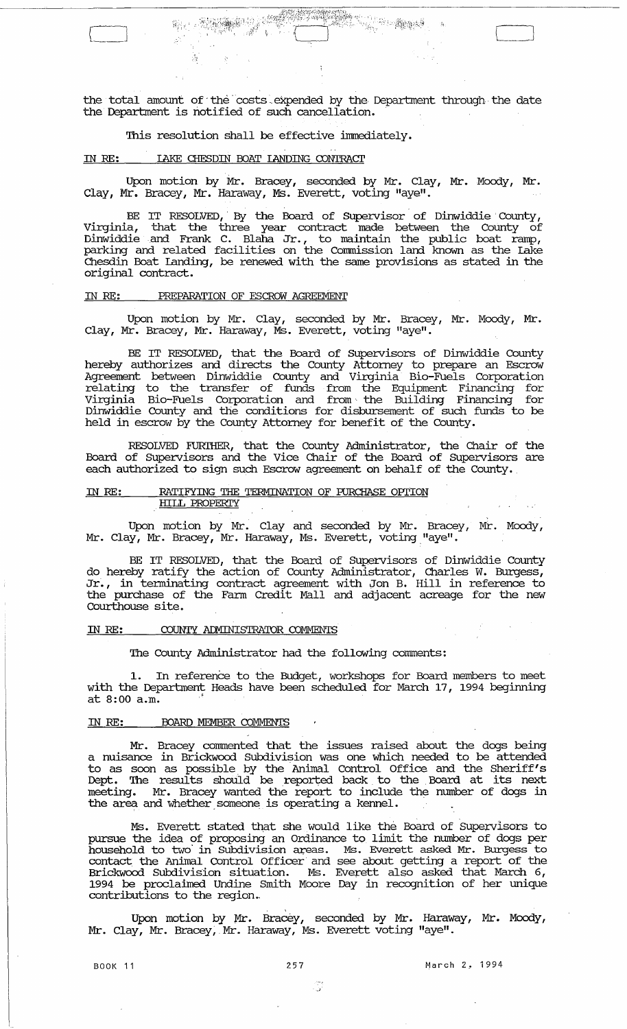the total amount of the costs expended by the Department through the date the Department is notified of such cancellation.

 $\bigl($ 

# This resolution shall be effective immediately.

## IN *RE:* lAKE CHESDIN BOAT lANDING CONTRAcr

s ge  $\sim$ 

Upon motion by Mr. Bracey, seconded by Mr. Clay, Mr. Moody, Mr. Clay, Mr. Bracey, Mr. Haraway, Ms. Everett, voting "aye".

BE IT RESOLVED, By the Board of Supervisor of Dinwiddie County, Virginia, that the three year contract made between the County of Dinwiddie.and Frank C. Blaha Jr., to maintain the public boat ramp, parking and related facilities on the Commission land known as the Lake Chesdin Boat landing, be renewed with the same provisions as stated in the original contract.

## IN *RE:* PREPARATION OF ESCROW AGREEMENT

Upon motion by Mr. Clay, seconded by Mr. Bracey, Mr. Moody, Mr • Clay, Mr. Bracey, Mr. Haraway, Ms. Everett, voting "aye".

BE IT RESOLVED, that the Board of Supervisors of Dinwiddie County hereby authorizes and directs the County Attorney to prepare an Escrow Agreement between Dinwiddie county and Virginia Bio-Fuels corporation relating to the transfer of funds from the Equipment Financing for Virginia Bio-Fuels Corporation and from' the Building Financing for Dinwiddie County and the conditions for disbursement of such funds to be held in escrow by the County Attorney for benefit of the County.

RESOLVED FURIHER, that the County Administrator, the Chair of the Board of Supervisors and the Vice Chair of the Board of Supervisors are each authorized to sign such Escrow agreement on behalf of the County.

#### IN *RE:* RATIFYING THE TERMINATION OF HJRCHASE OPI'ION HILL PROPERI'Y

Upon motion by Mr. Clay and seconded by Mr. Bracey, Mr. Moody, Mr. Clay, Mr. Bracey, Mr. Haraway, Ms. Everett, voting "aye" .

BE IT RESOLVED, that the Board of SUpervisors of Dinwiddie County do hereby ratify the action of County Administrator, Charles W. Burgess, Jr., in tenninating contract agreement with Jon B. Hill in reference to the purchase of the Fann Credit Mall and adjacent acreage for the new Courthouse site.

# IN RE: COUNTY ADMINISTRATOR COMMENTS

The County Administrator had the following comnents:

1. In reference to the Budget, workshops for Board members to meet with the Department Heads have been scheduled for March 17, 1994 beginning at 8:00 a.m. '

#### IN *RE:* BOARD MEMBER COMMENTS

Mr. Bracey commented that the issues raised about the dogs being a nuisance in Brickwood Subdivision was one which needed to be attended to as soon as possible by the . Animal Control Office and the Sheriff's Dept. The results should be reported back to the Board at its next meeting. Mr. Bracey wanted the report to include the number of dogs in the area and whether someone is operating a kennel.

Ms. Everett stated that she would like the Board of Supervisors to pursue the idea of proposing an Ordinance to limit the number of dogs per parado dhe haca of proposing an oralismos os filmino dhe hambor of asgripor contact the Animal Control Officer' and see about getting a report of the Brickwood Subdivision situation. Ms. Everett also asked that March 6, 1994 be proclaimed Undine Smith Moore Day in recognition of her unique contributions to the region ..

Upon motion by Mr. Bracey, seconded by Mr. Haraway, Mr. Moody, Mr. Clay, Mr. Bracey, Mr. Haraway, Ms. Everett voting "aye".

,

BOOK 11 257 March 2, 1994